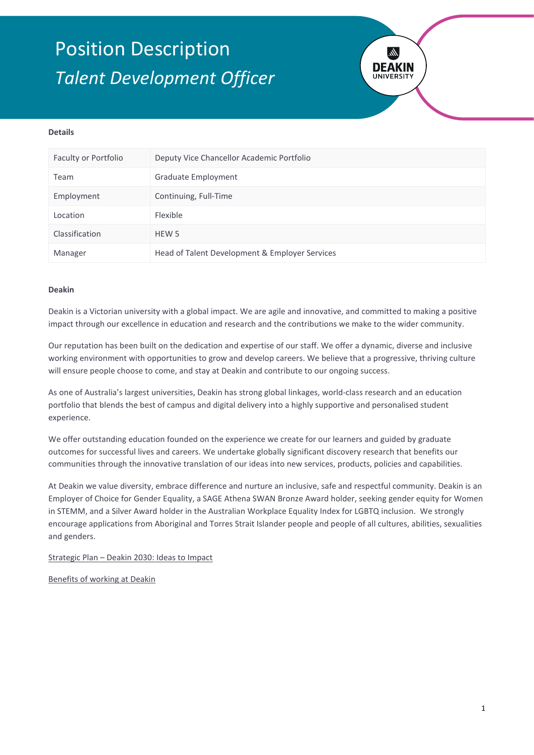# Position Description *Talent Development Officer*



### **Details**

| Faculty or Portfolio | Deputy Vice Chancellor Academic Portfolio      |
|----------------------|------------------------------------------------|
| Team                 | Graduate Employment                            |
| Employment           | Continuing, Full-Time                          |
| Location             | Flexible                                       |
| Classification       | HEW 5                                          |
| Manager              | Head of Talent Development & Employer Services |

#### **Deakin**

Deakin is a Victorian university with a global impact. We are agile and innovative, and committed to making a positive impact through our excellence in education and research and the contributions we make to the wider community.

Our reputation has been built on the dedication and expertise of our staff. We offer a dynamic, diverse and inclusive working environment with opportunities to grow and develop careers. We believe that a progressive, thriving culture will ensure people choose to come, and stay at Deakin and contribute to our ongoing success.

As one of Australia's largest universities, Deakin has strong global linkages, world-class research and an education portfolio that blends the best of campus and digital delivery into a highly supportive and personalised student experience.

We offer outstanding education founded on the experience we create for our learners and guided by graduate outcomes for successful lives and careers. We undertake globally significant discovery research that benefits our communities through the innovative translation of our ideas into new services, products, policies and capabilities.

At Deakin we value diversity, embrace difference and nurture an inclusive, safe and respectful community. Deakin is an Employer of Choice for Gender Equality, a SAGE Athena SWAN Bronze Award holder, seeking gender equity for Women in STEMM, and a Silver Award holder in the Australian Workplace Equality Index for LGBTQ inclusion. We strongly encourage applications from Aboriginal and Torres Strait Islander people and people of all cultures, abilities, sexualities and genders.

[Strategic Plan – Deakin 2030: Ideas to Impact](https://www.deakin.edu.au/about-deakin/strategic-direction)

[Benefits of working at Deakin](http://deakin.edu.au/about-deakin/careers-at-deakin)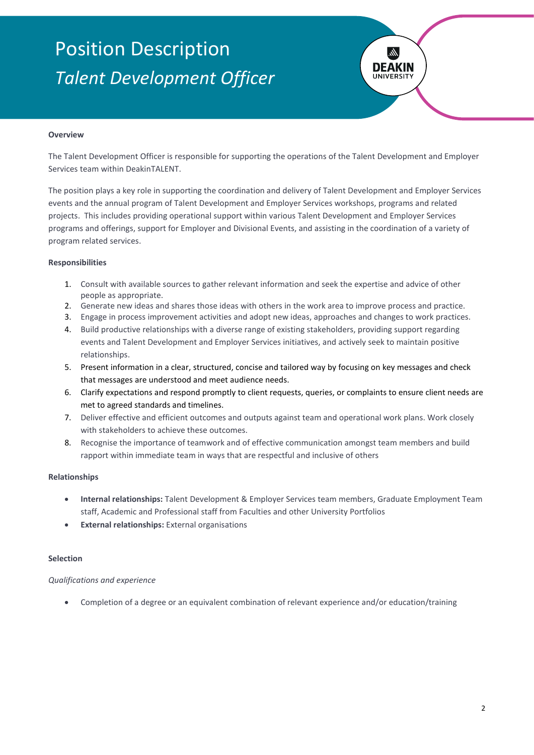# Position Description *Talent Development Officer*



### **Overview**

The Talent Development Officer is responsible for supporting the operations of the Talent Development and Employer Services team within DeakinTALENT.

The position plays a key role in supporting the coordination and delivery of Talent Development and Employer Services events and the annual program of Talent Development and Employer Services workshops, programs and related projects. This includes providing operational support within various Talent Development and Employer Services programs and offerings, support for Employer and Divisional Events, and assisting in the coordination of a variety of program related services.

#### **Responsibilities**

- 1. Consult with available sources to gather relevant information and seek the expertise and advice of other people as appropriate.
- 2. Generate new ideas and shares those ideas with others in the work area to improve process and practice.
- 3. Engage in process improvement activities and adopt new ideas, approaches and changes to work practices.
- 4. Build productive relationships with a diverse range of existing stakeholders, providing support regarding events and Talent Development and Employer Services initiatives, and actively seek to maintain positive relationships.
- 5. Present information in a clear, structured, concise and tailored way by focusing on key messages and check that messages are understood and meet audience needs.
- 6. Clarify expectations and respond promptly to client requests, queries, or complaints to ensure client needs are met to agreed standards and timelines.
- 7. Deliver effective and efficient outcomes and outputs against team and operational work plans. Work closely with stakeholders to achieve these outcomes.
- 8. Recognise the importance of teamwork and of effective communication amongst team members and build rapport within immediate team in ways that are respectful and inclusive of others

#### **Relationships**

- **Internal relationships:** Talent Development & Employer Services team members, Graduate Employment Team staff, Academic and Professional staff from Faculties and other University Portfolios
- **External relationships:** External organisations

#### **Selection**

#### *Qualifications and experience*

• Completion of a degree or an equivalent combination of relevant experience and/or education/training